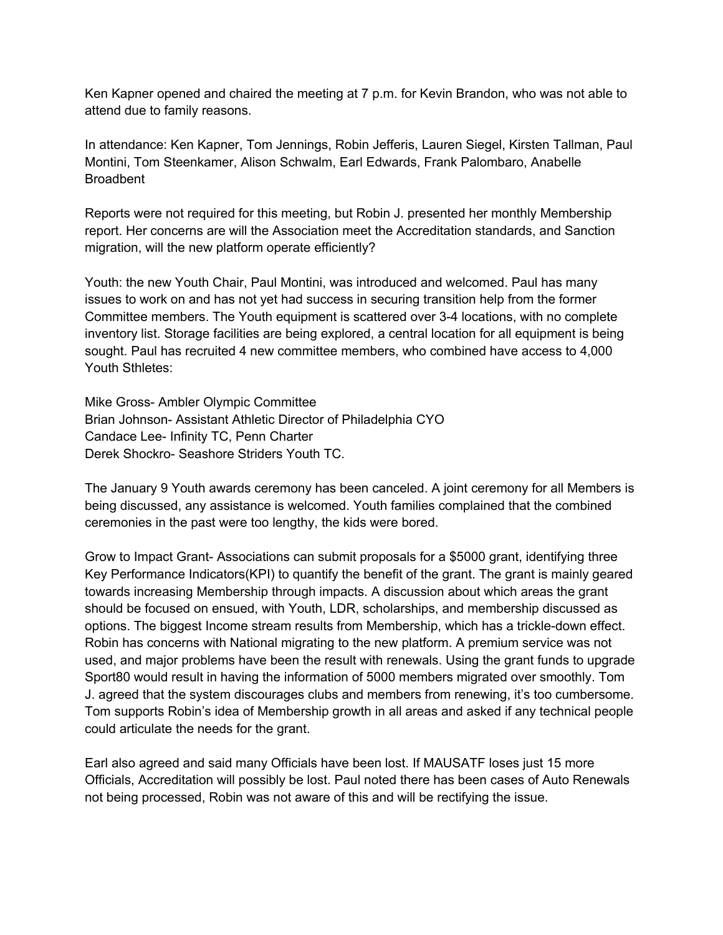Ken Kapner opened and chaired the meeting at 7 p.m. for Kevin Brandon, who was not able to attend due to family reasons.

In attendance: Ken Kapner, Tom Jennings, Robin Jefferis, Lauren Siegel, Kirsten Tallman, Paul Montini, Tom Steenkamer, Alison Schwalm, Earl Edwards, Frank Palombaro, Anabelle **Broadbent** 

Reports were not required for this meeting, but Robin J. presented her monthly Membership report. Her concerns are will the Association meet the Accreditation standards, and Sanction migration, will the new platform operate efficiently?

Youth: the new Youth Chair, Paul Montini, was introduced and welcomed. Paul has many issues to work on and has not yet had success in securing transition help from the former Committee members. The Youth equipment is scattered over 3-4 locations, with no complete inventory list. Storage facilities are being explored, a central location for all equipment is being sought. Paul has recruited 4 new committee members, who combined have access to 4,000 Youth Sthletes:

Mike Gross- Ambler Olympic Committee Brian Johnson- Assistant Athletic Director of Philadelphia CYO Candace Lee- Infinity TC, Penn Charter Derek Shockro- Seashore Striders Youth TC.

The January 9 Youth awards ceremony has been canceled. A joint ceremony for all Members is being discussed, any assistance is welcomed. Youth families complained that the combined ceremonies in the past were too lengthy, the kids were bored.

Grow to Impact Grant- Associations can submit proposals for a \$5000 grant, identifying three Key Performance Indicators(KPI) to quantify the benefit of the grant. The grant is mainly geared towards increasing Membership through impacts. A discussion about which areas the grant should be focused on ensued, with Youth, LDR, scholarships, and membership discussed as options. The biggest Income stream results from Membership, which has a trickle-down effect. Robin has concerns with National migrating to the new platform. A premium service was not used, and major problems have been the result with renewals. Using the grant funds to upgrade Sport80 would result in having the information of 5000 members migrated over smoothly. Tom J. agreed that the system discourages clubs and members from renewing, it's too cumbersome. Tom supports Robin's idea of Membership growth in all areas and asked if any technical people could articulate the needs for the grant.

Earl also agreed and said many Officials have been lost. If MAUSATF loses just 15 more Officials, Accreditation will possibly be lost. Paul noted there has been cases of Auto Renewals not being processed, Robin was not aware of this and will be rectifying the issue.